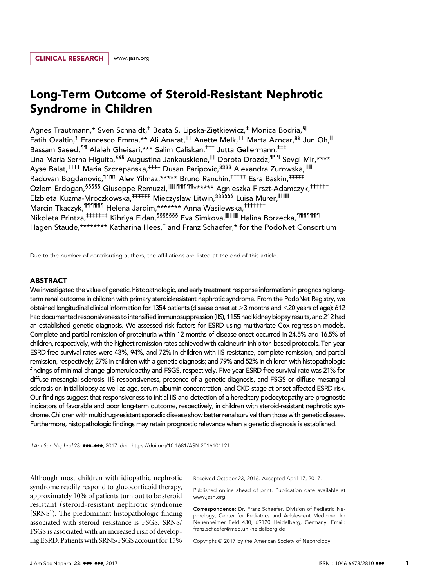# Long-Term Outcome of Steroid-Resistant Nephrotic Syndrome in Children

Agnes Trautmann,\* Sven Schnaidt,<sup>†</sup> Beata S. Lipska-Ziętkiewicz,<sup>‡</sup> Monica Bodria, SII Fatih Ozaltin,<sup>¶</sup> Francesco Emma,\*\* Ali Anarat,<sup>††</sup> Anette Melk,<sup>‡‡</sup> Marta Azocar,<sup>§§</sup> Jun Oh,<sup>||||</sup> Bassam Saeed,¶¶ Alaleh Gheisari,\*\*\* Salim Caliskan,††† Jutta Gellermann,‡‡‡ Lina Maria Serna Higuita,<sup>§§§</sup> Augustina Jankauskiene,<sup>|||||</sup> Dorota Drozdz,<sup>¶¶¶</sup> Sevgi Mir, \*\*\*\* Ayse Balat,<sup>††††</sup> Maria Szczepanska,<sup>‡‡‡‡</sup> Dusan Paripovic,<sup>§§§§</sup> Alexandra Zurowska,<sup>|||||||</sup> Radovan Bogdanovic,<sup>¶¶¶¶</sup> Alev Yilmaz,\*\*\*\*\* Bruno Ranchin,<sup>†††††</sup> Esra Baskin,<sup>‡‡‡‡‡</sup> Ozlem Erdogan,§§§§§ Giuseppe Remuzzi,|||||¶¶¶¶¶\*\*\*\*\*\* Agnieszka Firszt-Adamczyk,†††††† Elzbieta Kuzma-Mroczkowska,<sup>‡‡‡‡‡‡</sup> Mieczyslaw Litwin,<sup>§§§§§§</sup> Luisa Murer,<sup>||||||||||</sup> Marcin Tkaczyk,<sup>¶¶¶¶¶</sup> Helena Jardim, \*\*\*\*\*\*\* Anna Wasilewska, <sup>†††††††</sup> Nikoleta Printza,<sup>‡‡‡‡‡‡‡</sup> Kibriya Fidan,<sup>§§§§§§§</sup> Eva Simkova,<sup>||||||||||||</sup> Halina Borzecka,<sup>¶¶¶¶¶¶</sup> Hagen Staude,\*\*\*\*\*\*\*\* Katharina Hees,<sup>†</sup> and Franz Schaefer,\* for the PodoNet Consortium

Due to the number of contributing authors, the affiliations are listed at the end of this article.

#### **ABSTRACT**

We investigated the value of genetic, histopathologic, and early treatment response information in prognosing longterm renal outcome in children with primary steroid-resistant nephrotic syndrome. From the PodoNet Registry, we obtained longitudinal clinical information for 1354 patients (disease onset at  $>$ 3 months and <20 years of age): 612 had documented responsiveness to intensifiedimmunosuppression(IIS), 1155 had kidneybiopsy results, and 212 had an established genetic diagnosis. We assessed risk factors for ESRD using multivariate Cox regression models. Complete and partial remission of proteinuria within 12 months of disease onset occurred in 24.5% and 16.5% of children, respectively, with the highest remission rates achieved with calcineurin inhibitor–based protocols. Ten-year ESRD-free survival rates were 43%, 94%, and 72% in children with IIS resistance, complete remission, and partial remission, respectively; 27% in children with a genetic diagnosis; and 79% and 52% in children with histopathologic findings of minimal change glomerulopathy and FSGS, respectively. Five-year ESRD-free survival rate was 21% for diffuse mesangial sclerosis. IIS responsiveness, presence of a genetic diagnosis, and FSGS or diffuse mesangial sclerosis on initial biopsy as well as age, serum albumin concentration, and CKD stage at onset affected ESRD risk. Our findings suggest that responsiveness to initial IIS and detection of a hereditary podocytopathy are prognostic indicators of favorable and poor long-term outcome, respectively, in children with steroid-resistant nephrotic syndrome. Children with multidrug-resistant sporadic disease show better renal survival than those with genetic disease. Furthermore, histopathologic findings may retain prognostic relevance when a genetic diagnosis is established.

J Am Soc Nephrol 28:  $\text{e}^{\text{o}}$  -  $\text{e}^{\text{o}}$ , 2017. doi:<https://doi.org/10.1681/ASN.2016101121>

Although most children with idiopathic nephrotic syndrome readily respond to glucocorticoid therapy, approximately 10% of patients turn out to be steroid resistant (steroid-resistant nephrotic syndrome [SRNS]). The predominant histopathologic finding associated with steroid resistance is FSGS. SRNS/ FSGS is associated with an increased risk of developing ESRD. Patients with SRNS/FSGS account for 15% Received October 23, 2016. Accepted April 17, 2017.

Published online ahead of print. Publication date available at [www.jasn.org](http://www.jasn.org).

Correspondence: Dr. Franz Schaefer, Division of Pediatric Nephrology, Center for Pediatrics and Adolescent Medicine, Im Neuenheimer Feld 430, 69120 Heidelberg, Germany. Email: [franz.schaefer@med.uni-heidelberg.de](mailto:franz.schaefer@med.uni-heidelberg.de)

Copyright © 2017 by the American Society of Nephrology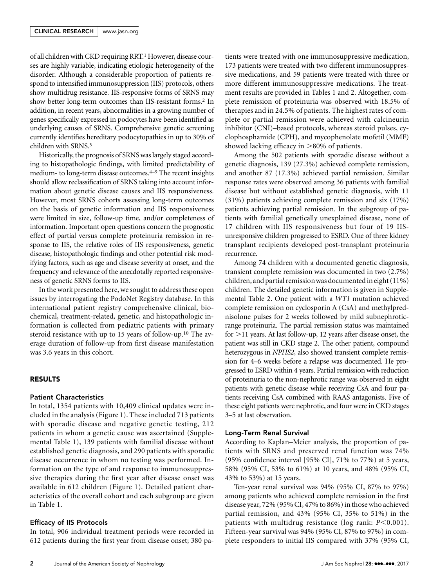of all children with CKD requiring RRT.1 However, disease courses are highly variable, indicating etiologic heterogeneity of the disorder. Although a considerable proportion of patients respond to intensified immunosuppression (IIS) protocols, others show multidrug resistance. IIS-responsive forms of SRNS may show better long-term outcomes than IIS-resistant forms.2 In addition, in recent years, abnormalities in a growing number of genes specifically expressed in podocytes have been identified as underlying causes of SRNS. Comprehensive genetic screening currently identifies hereditary podocytopathies in up to 30% of children with SRNS.3

Historically, the prognosis of SRNS was largely staged according to histopathologic findings, with limited predictability of medium- to long-term disease outcomes.<sup>4-9</sup> The recent insights should allow reclassification of SRNS taking into account information about genetic disease causes and IIS responsiveness. However, most SRNS cohorts assessing long-term outcomes on the basis of genetic information and IIS responsiveness were limited in size, follow-up time, and/or completeness of information. Important open questions concern the prognostic effect of partial versus complete proteinuria remission in response to IIS, the relative roles of IIS responsiveness, genetic disease, histopathologic findings and other potential risk modifying factors, such as age and disease severity at onset, and the frequency and relevance of the anecdotally reported responsiveness of genetic SRNS forms to IIS.

In the work presented here, we sought to address these open issues by interrogating the PodoNet Registry database. In this international patient registry comprehensive clinical, biochemical, treatment-related, genetic, and histopathologic information is collected from pediatric patients with primary steroid resistance with up to 15 years of follow-up.10 The average duration of follow-up from first disease manifestation was 3.6 years in this cohort.

# RESULTS

# Patient Characteristics

In total, 1354 patients with 10,409 clinical updates were included in the analysis (Figure 1). These included 713 patients with sporadic disease and negative genetic testing, 212 patients in whom a genetic cause was ascertained [\(Supple](http://jasn.asnjournals.org/lookup/suppl/doi:10.1681/ASN.2016101121/-/DCSupplemental)[mental Table 1\)](http://jasn.asnjournals.org/lookup/suppl/doi:10.1681/ASN.2016101121/-/DCSupplemental), 139 patients with familial disease without established genetic diagnosis, and 290 patients with sporadic disease occurrence in whom no testing was performed. Information on the type of and response to immunosuppressive therapies during the first year after disease onset was available in 612 children (Figure 1). Detailed patient characteristics of the overall cohort and each subgroup are given in Table 1.

# Efficacy of IIS Protocols

In total, 906 individual treatment periods were recorded in 612 patients during the first year from disease onset; 380 patients were treated with one immunosuppressive medication, 173 patients were treated with two different immunosuppressive medications, and 59 patients were treated with three or more different immunosuppressive medications. The treatment results are provided in Tables 1 and 2. Altogether, complete remission of proteinuria was observed with 18.5% of therapies and in 24.5% of patients. The highest rates of complete or partial remission were achieved with calcineurin inhibitor (CNI)–based protocols, whereas steroid pulses, cyclophosphamide (CPH), and mycophenolate mofetil (MMF) showed lacking efficacy in  $>80\%$  of patients.

Among the 502 patients with sporadic disease without a genetic diagnosis, 139 (27.3%) achieved complete remission, and another 87 (17.3%) achieved partial remission. Similar response rates were observed among 36 patients with familial disease but without established genetic diagnosis, with 11 (31%) patients achieving complete remission and six (17%) patients achieving partial remission. In the subgroup of patients with familial genetically unexplained disease, none of 17 children with IIS responsiveness but four of 19 IISunresponsive children progressed to ESRD. One of three kidney transplant recipients developed post-transplant proteinuria recurrence.

Among 74 children with a documented genetic diagnosis, transient complete remission was documented in two (2.7%) children, and partial remissionwas documented in eight (11%) children. The detailed genetic information is given in [Supple](http://jasn.asnjournals.org/lookup/suppl/doi:10.1681/ASN.2016101121/-/DCSupplemental)[mental Table 2.](http://jasn.asnjournals.org/lookup/suppl/doi:10.1681/ASN.2016101121/-/DCSupplemental) One patient with a WT1 mutation achieved complete remission on cyclosporin A (CsA) and methylprednisolone pulses for 2 weeks followed by mild subnephroticrange proteinuria. The partial remission status was maintained for  $>$ 11 years. At last follow-up, 12 years after disease onset, the patient was still in CKD stage 2. The other patient, compound heterozygous in NPHS2, also showed transient complete remission for 4–6 weeks before a relapse was documented. He progressed to ESRD within 4 years. Partial remission with reduction of proteinuria to the non-nephrotic range was observed in eight patients with genetic disease while receiving CsA and four patients receiving CsA combined with RAAS antagonists. Five of these eight patients were nephrotic, and four were in CKD stages 3–5 at last observation.

# Long-Term Renal Survival

According to Kaplan–Meier analysis, the proportion of patients with SRNS and preserved renal function was 74% (95% confidence interval [95% CI], 71% to 77%) at 5 years, 58% (95% CI, 53% to 61%) at 10 years, and 48% (95% CI, 43% to 53%) at 15 years.

Ten-year renal survival was 94% (95% CI, 87% to 97%) among patients who achieved complete remission in the first disease year, 72% (95% CI, 47% to 86%) in those who achieved partial remission, and 43% (95% CI, 35% to 51%) in the patients with multidrug resistance (log rank:  $P<0.001$ ). Fifteen-year survival was 94% (95% CI, 87% to 97%) in complete responders to initial IIS compared with 37% (95% CI,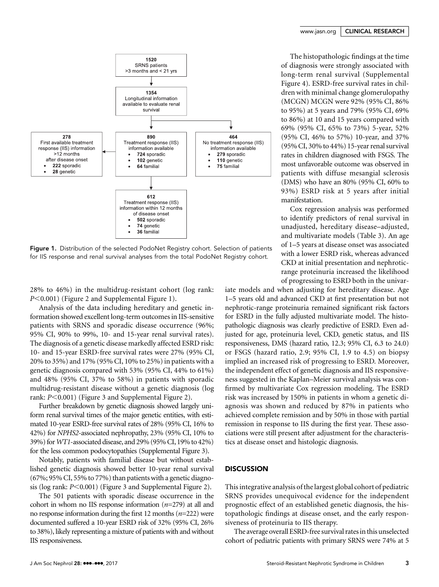

Figure 1. Distribution of the selected PodoNet Registry cohort. Selection of patients for IIS response and renal survival analyses from the total PodoNet Registry cohort.

28% to 46%) in the multidrug-resistant cohort (log rank:  $P<0.001$ ) (Figure 2 and [Supplemental Figure 1](http://jasn.asnjournals.org/lookup/suppl/doi:10.1681/ASN.2016101121/-/DCSupplemental)).

Analysis of the data including hereditary and genetic information showed excellent long-term outcomes in IIS-sensitive patients with SRNS and sporadic disease occurrence (96%; 95% CI, 90% to 99%, 10- and 15-year renal survival rates). The diagnosis of a genetic disease markedly affected ESRD risk: 10- and 15-year ESRD-free survival rates were 27% (95% CI, 20% to 35%) and 17% (95% CI, 10% to 25%) in patients with a genetic diagnosis compared with 53% (95% CI, 44% to 61%) and 48% (95% CI, 37% to 58%) in patients with sporadic multidrug-resistant disease without a genetic diagnosis (log rank:  $P<0.001$ ) (Figure 3 and [Supplemental Figure 2](http://jasn.asnjournals.org/lookup/suppl/doi:10.1681/ASN.2016101121/-/DCSupplemental)).

Further breakdown by genetic diagnosis showed largely uniform renal survival times of the major genetic entities, with estimated 10-year ESRD-free survival rates of 28% (95% CI, 16% to 42%) for NPHS2-associated nephropathy, 23% (95% CI, 10% to 39%) for WT1-associated disease, and 29% (95% CI, 19% to 42%) for the less common podocytopathies [\(Supplemental Figure 3](http://jasn.asnjournals.org/lookup/suppl/doi:10.1681/ASN.2016101121/-/DCSupplemental)).

Notably, patients with familial disease but without established genetic diagnosis showed better 10-year renal survival (67%; 95% CI, 55% to 77%) than patients with a genetic diagnosis (log rank:  $P<0.001$ ) (Figure 3 and [Supplemental Figure 2](http://jasn.asnjournals.org/lookup/suppl/doi:10.1681/ASN.2016101121/-/DCSupplemental)).

The 501 patients with sporadic disease occurrence in the cohort in whom no IIS response information  $(n=279)$  at all and no response information during the first 12 months  $(n=222)$  were documented suffered a 10-year ESRD risk of 32% (95% CI, 26% to 38%), likely representing a mixture of patients with and without IIS responsiveness.

The histopathologic findings at the time of diagnosis were strongly associated with long-term renal survival [\(Supplemental](http://jasn.asnjournals.org/lookup/suppl/doi:10.1681/ASN.2016101121/-/DCSupplemental) [Figure 4](http://jasn.asnjournals.org/lookup/suppl/doi:10.1681/ASN.2016101121/-/DCSupplemental)). ESRD-free survival rates in children with minimal change glomerulopathy (MCGN) MCGN were 92% (95% CI, 86% to 95%) at 5 years and 79% (95% CI, 69% to 86%) at 10 and 15 years compared with 69% (95% CI, 65% to 73%) 5-year, 52% (95% CI, 46% to 57%) 10-year, and 37% (95% CI, 30% to 44%) 15-year renal survival rates in children diagnosed with FSGS. The most unfavorable outcome was observed in patients with diffuse mesangial sclerosis (DMS) who have an 80% (95% CI, 60% to 93%) ESRD risk at 5 years after initial manifestation.

Cox regression analysis was performed to identify predictors of renal survival in unadjusted, hereditary disease–adjusted, and multivariate models (Table 3). An age of 1–5 years at disease onset was associated with a lower ESRD risk, whereas advanced CKD at initial presentation and nephroticrange proteinuria increased the likelihood of progressing to ESRD both in the univar-

iate models and when adjusting for hereditary disease. Age 1–5 years old and advanced CKD at first presentation but not nephrotic-range proteinuria remained significant risk factors for ESRD in the fully adjusted multivariate model. The histopathologic diagnosis was clearly predictive of ESRD. Even adjusted for age, proteinuria level, CKD, genetic status, and IIS responsiveness, DMS (hazard ratio, 12.3; 95% CI, 6.3 to 24.0) or FSGS (hazard ratio, 2.9; 95% CI, 1.9 to 4.5) on biopsy implied an increased risk of progressing to ESRD. Moreover, the independent effect of genetic diagnosis and IIS responsiveness suggested in the Kaplan–Meier survival analysis was confirmed by multivariate Cox regression modeling. The ESRD risk was increased by 150% in patients in whom a genetic diagnosis was shown and reduced by 87% in patients who achieved complete remission and by 50% in those with partial remission in response to IIS during the first year. These associations were still present after adjustment for the characteristics at disease onset and histologic diagnosis.

#### **DISCUSSION**

This integrative analysis of the largest global cohort of pediatric SRNS provides unequivocal evidence for the independent prognostic effect of an established genetic diagnosis, the histopathologic findings at disease onset, and the early responsiveness of proteinuria to IIS therapy.

The average overall ESRD-free survival rates in this unselected cohort of pediatric patients with primary SRNS were 74% at 5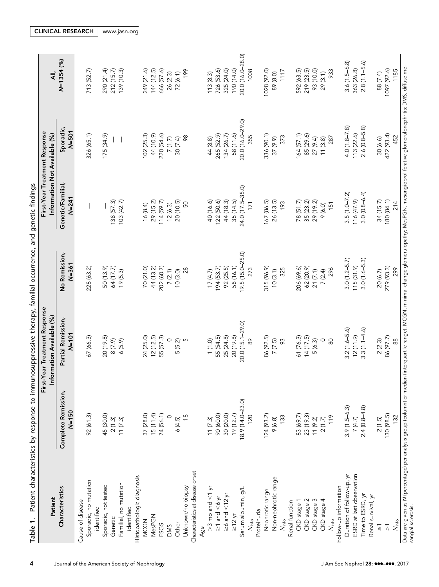| Sporadic, no mutation<br>Characteristics<br>Patient<br>Cause of disease |                                | First-Year Treatment Response<br>Information Available (%) |                            | Information Not Available (%)  | First-Year Treatment Response | ₹                |
|-------------------------------------------------------------------------|--------------------------------|------------------------------------------------------------|----------------------------|--------------------------------|-------------------------------|------------------|
|                                                                         | Complete Remission,<br>$N=150$ | Partial Remission,<br>$N=101$                              | No Remission,<br>$N = 361$ | Genetic/Familial,<br>$N = 241$ | Sporadic,<br>$N=501$          | N=1354 (%)       |
|                                                                         |                                |                                                            |                            |                                |                               |                  |
|                                                                         | 92 (61.3)                      | 67 (66.3)                                                  | 228 (63.2)                 |                                | 326 (65.1)                    | 713 (52.7)       |
| identified                                                              |                                |                                                            |                            |                                |                               |                  |
| Sporadic, not tested                                                    | 45 (30.0)                      | 20 (19.8)                                                  | 50 (13.9)                  |                                | 175(34.9)                     | 290 (21.4)       |
| Genetic                                                                 | 2(1.3)                         | 8(7.9)                                                     | 64 (17.7)                  | 138 (57.3)                     |                               | 212(15.7)        |
| Familial, no mutation                                                   | 11(7.3)                        | 6(5.9)                                                     | 19(5.3)                    | 103(42.7)                      |                               | 139 (10.3)       |
| identified                                                              |                                |                                                            |                            |                                |                               |                  |
| Histopathologic diagnosis                                               |                                |                                                            |                            |                                |                               |                  |
| MCGN                                                                    | 37 (28.0)                      | 24 (25.0)                                                  | 70 (21.0)                  | 16(8.4)                        | 102(25.3)                     | 249 (21.6)       |
| MesPGN                                                                  | 15(11.4)                       | 12(12.5)                                                   | 44 (13.2)                  | 29 (15.2)                      | 44 (10.9)                     | 144(12.5)        |
| FSGS                                                                    | 74 (56.1)                      | 55 (57.3)                                                  | 202 (60.7)                 | 114(59.7)                      | 220 (54.6)                    | 666 (57.6)       |
| <b>DMS</b>                                                              |                                | $\circ$                                                    | 7(2.1)                     | 12(6.3)                        | 7(1.7)                        | 26 (2.3)         |
| Other                                                                   | 6(4.5)                         | 5 (5.2)                                                    | 10(3.0)                    | 20 (10.5)                      | 30 (7.4)                      | 72(6.1)          |
| Unknown/no biopsy                                                       | $\frac{8}{1}$                  | S                                                          | 28                         | 50                             | 98                            | 199              |
| Characteristics at disease onset                                        |                                |                                                            |                            |                                |                               |                  |
| Age                                                                     |                                |                                                            |                            |                                |                               |                  |
| $>3$ mo and $<$ 1 yr                                                    | 11(7.3)                        | 1(1.0)                                                     | 17(4.7)                    | 40 (16.6)                      | 44 (8.8)                      | 113(8.3)         |
| $\geq$ 1 and $<$ 6 yr                                                   | 90 (60.0)                      | 55 (54.5)                                                  | 194 (53.7)                 | 122(50.6)                      | 265 (52.9)                    | 726 (53.6)       |
| $\geq$ 6 and $\lt$ 12 yr                                                | 30 (20.0)                      | 25 (24.8)                                                  | 92 (25.5)                  | 44 (18.3)                      | 134 (26.7)                    | 325 (24.0)       |
| $\geq$ 12 yr                                                            | 19(12.7)                       | 20 (19.8)                                                  | 58 (16.1)                  | 35 (14.5)                      | 58 (11.6)                     | 190 (14.0)       |
| Serum albumin, g/L                                                      | 18.9 (14.0-23.0)               | 20.0 (15.1-29.0)                                           | $19.5(15.0 - 25.0)$        | 24.0 (17.5-35.0)               | 20.0 (16.0-29.0)              | 20.0 (16.0-28.0) |
| $N_{\rm info}$                                                          | <b>120</b>                     | 89                                                         | 273                        | 171                            | 355                           | 1008             |
| Proteinuria                                                             |                                |                                                            |                            |                                |                               |                  |
| Nephrotic range                                                         | 124(93.2)                      | 86 (92.5)                                                  | 315 (96.9)                 | 167(86.5)                      | 336 (90.1)                    | 1028 (92.0)      |
| Non-nephrotic range                                                     | 9(6.8)                         | 7(7.5)                                                     | 10(3.1)                    | 26 (13.5)                      | 37 (9.9)                      | 89 (8.0)         |
| $N_{\text{info}}$                                                       | 133                            | $\infty$                                                   | 325                        | 193                            | 373                           | 1117             |
| Renal function                                                          |                                |                                                            |                            |                                |                               |                  |
| CKD stage 1                                                             | 83 (69.7)                      | 61 (76.3)                                                  | 206 (69.6)                 | 78 (51.7)                      | 164 (57.1)                    | 592 (63.5)       |
| CKD stage 2                                                             | 23 (19.3)                      | 14(17.5)                                                   | 62 (20.9)                  | 35 (23.2)                      | 85 (29.6)                     | 219 (23.5)       |
| CKD stage 3                                                             | 11(9.2)                        | 5(6.3)                                                     | 21(7.1)                    | 29 (19.2)                      | 27 (9.4)                      | 93 (10.0)        |
| CKD stage 4                                                             | 2(1.7)                         | $\circ$                                                    | 7(2.4)                     | 9(6.0)                         | 11(3.8)                       | 29 (3.1)         |
| $N_{\text{info}}$                                                       | 119                            | $\pmb{\otimes}$                                            | 296                        | 151                            | 287                           | 933              |
| Follow-up information                                                   |                                |                                                            |                            |                                |                               |                  |
| Duration of follow-up, yr                                               | $3.9(1.5 - 6.3)$               | $3.2(1.6 - 5.6)$                                           | $3.0(1.2 - 5.7)$           | $3.5(1.0 - 7.2)$               | $4.0(1.8 - 7.8)$              | $3.6(1.5 - 6.8)$ |
| ESRD at last observation                                                | 7(4.7)                         | 12(11.9)                                                   | 115(31.9)                  | 116(47.9)                      | 113(22.6)                     | 363 (26.8)       |
| Time to ESRD, yr                                                        | $2.4(0.8 - 4.8)$               | $3.3(1.1 - 4.6)$                                           | $3.0(1.6 - 5.3)$           | $3.0(0.8 - 6.4)$               | $2.6(0.8 - 5.8)$              | $2.8(1.1 - 5.6)$ |
| Renal survival, yr                                                      |                                |                                                            |                            |                                |                               |                  |
| $\overline{v}$                                                          | 2(1.5)                         | 2(2.3)                                                     | 20(6.7)                    | 34 (15.7)                      | 30 (6.6)                      | 88 (7.4)         |
| $\overline{\wedge}$                                                     | 130 (98.5)                     | 86 (97.7)                                                  | 279 (93.3)                 | 180 (84.1)                     | 422 (93.4)                    | 1097 (92.6)      |
| $N_{\text{info}}$                                                       | 132                            | $_{88}$                                                    | 299                        | 214                            | 452                           | 1185             |

Patient characteristics by response to immunosuppressive therapy, familial occurrence, and genetic findings Table 1. Patient characteristics by response to immunosuppressive therapy, familial occurrence, and genetic findings

CLINICAL RESEARCH | www.jasn.org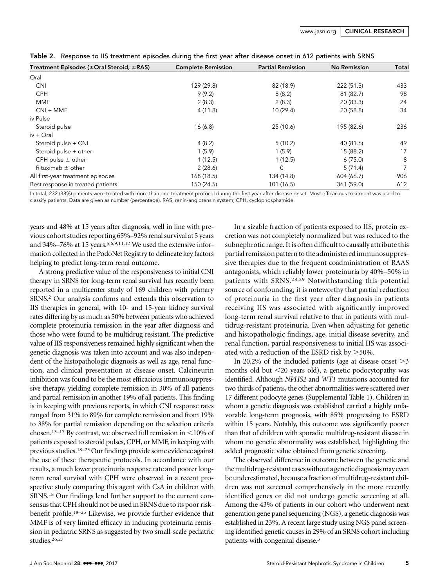| Treatment Episodes (±Oral Steroid, ±RAS) | <b>Complete Remission</b> | <b>Partial Remission</b> | <b>No Remission</b> | Total          |
|------------------------------------------|---------------------------|--------------------------|---------------------|----------------|
| Oral                                     |                           |                          |                     |                |
| <b>CNI</b>                               | 129 (29.8)                | 82 (18.9)                | 222 (51.3)          | 433            |
| <b>CPH</b>                               | 9(9.2)                    | 8(8.2)                   | 81 (82.7)           | 98             |
| <b>MMF</b>                               | 2(8.3)                    | 2(8.3)                   | 20(83.3)            | 24             |
| $CNI + MMF$                              | 4(11.8)                   | 10 (29.4)                | 20 (58.8)           | 34             |
| iv Pulse                                 |                           |                          |                     |                |
| Steroid pulse                            | 16(6.8)                   | 25 (10.6)                | 195 (82.6)          | 236            |
| $iv + Ord$                               |                           |                          |                     |                |
| Steroid pulse + CNI                      | 4(8.2)                    | 5(10.2)                  | 40 (81.6)           | 49             |
| Steroid pulse + other                    | 1(5.9)                    | 1(5.9)                   | 15 (88.2)           | 17             |
| CPH pulse $\pm$ other                    | 1(12.5)                   | 1(12.5)                  | 6(75.0)             | 8              |
| Rituximab $\pm$ other                    | 2(28.6)                   | 0                        | 5(71.4)             | $\overline{7}$ |
| All first-year treatment episodes        | 168 (18.5)                | 134 (14.8)               | 604 (66.7)          | 906            |
| Best response in treated patients        | 150 (24.5)                | 101 (16.5)               | 361 (59.0)          | 612            |

In total, 232 (38%) patients were treated with more than one treatment protocol during the first year after disease onset. Most efficacious treatment was used to classify patients. Data are given as number (percentage). RAS, renin-angiotensin system; CPH, cyclophosphamide.

years and 48% at 15 years after diagnosis, well in line with previous cohort studies reporting 65%–92% renal survival at 5 years and 34%–76% at 15 years.<sup>5,6,9,11,12</sup> We used the extensive information collected in the PodoNet Registry to delineate key factors helping to predict long-term renal outcome.

A strong predictive value of the responsiveness to initial CNI therapy in SRNS for long-term renal survival has recently been reported in a multicenter study of 169 children with primary SRNS.2 Our analysis confirms and extends this observation to IIS therapies in general, with 10- and 15-year kidney survival rates differing by as much as 50% between patients who achieved complete proteinuria remission in the year after diagnosis and those who were found to be multidrug resistant. The predictive value of IIS responsiveness remained highly significant when the genetic diagnosis was taken into account and was also independent of the histopathologic diagnosis as well as age, renal function, and clinical presentation at disease onset. Calcineurin inhibition was found to be the most efficacious immunosuppressive therapy, yielding complete remission in 30% of all patients and partial remission in another 19% of all patients. This finding is in keeping with previous reports, in which CNI response rates ranged from 31% to 89% for complete remission and from 19% to 38% for partial remission depending on the selection criteria chosen.<sup>13–17</sup> By contrast, we observed full remission in  $\leq$ 10% of patients exposed to steroid pulses, CPH, or MMF, in keeping with previous studies.<sup>18–23</sup> Our findings provide some evidence against the use of these therapeutic protocols. In accordance with our results, a much lower proteinuria response rate and poorer longterm renal survival with CPH were observed in a recent prospective study comparing this agent with CsA in children with SRNS.18 Our findings lend further support to the current consensus that CPH should not be used in SRNS due to its poor riskbenefit profile.18–<sup>25</sup> Likewise, we provide further evidence that MMF is of very limited efficacy in inducing proteinuria remission in pediatric SRNS as suggested by two small-scale pediatric studies.26,27

In a sizable fraction of patients exposed to IIS, protein excretion was not completely normalized but was reduced to the subnephrotic range. It is often difficult to causally attribute this partial remission pattern to the administered immunosuppressive therapies due to the frequent coadministration of RAAS antagonists, which reliably lower proteinuria by 40%–50% in patients with SRNS.28,29 Notwithstanding this potential source of confounding, it is noteworthy that partial reduction of proteinuria in the first year after diagnosis in patients receiving IIS was associated with significantly improved long-term renal survival relative to that in patients with multidrug-resistant proteinuria. Even when adjusting for genetic and histopathologic findings, age, initial disease severity, and renal function, partial responsiveness to initial IIS was associated with a reduction of the ESRD risk by  $>50\%$ .

In 20.2% of the included patients (age at disease onset  $>3$ months old but  $\leq$ 20 years old), a genetic podocytopathy was identified. Although NPHS2 and WT1 mutations accounted for two thirds of patients, the other abnormalities were scattered over 17 different podocyte genes ([Supplemental Table 1\)](http://jasn.asnjournals.org/lookup/suppl/doi:10.1681/ASN.2016101121/-/DCSupplemental). Children in whom a genetic diagnosis was established carried a highly unfavorable long-term prognosis, with 85% progressing to ESRD within 15 years. Notably, this outcome was significantly poorer than that of children with sporadic multidrug-resistant disease in whom no genetic abnormality was established, highlighting the added prognostic value obtained from genetic screening.

The observed difference in outcome between the genetic and themultidrug-resistant caseswithout ageneticdiagnosismayeven be underestimated, because a fraction of multidrug-resistant children was not screened comprehensively in the more recently identified genes or did not undergo genetic screening at all. Among the 43% of patients in our cohort who underwent next generation gene panel sequencing (NGS), a genetic diagnosis was established in 23%. A recent large study using NGS panel screening identified genetic causes in 29% of an SRNS cohort including patients with congenital disease.3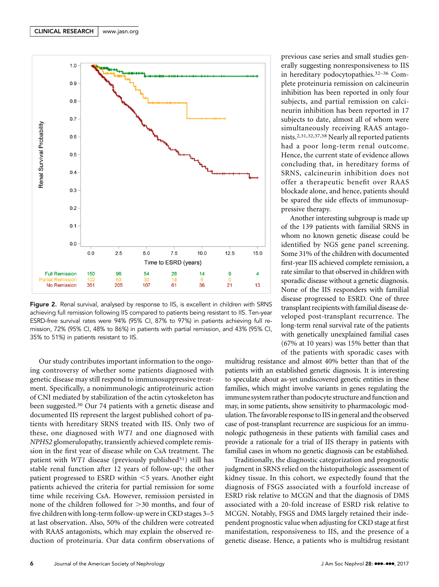

Figure 2. Renal survival, analysed by response to IIS, is excellent in children with SRNS achieving full remission following IIS compared to patients being resistant to IIS. Ten-year ESRD-free survival rates were 94% (95% CI, 87% to 97%) in patients achieving full remission, 72% (95% CI, 48% to 86%) in patients with partial remission, and 43% (95% CI, 35% to 51%) in patients resistant to IIS.

Our study contributes important information to the ongoing controversy of whether some patients diagnosed with genetic disease may still respond to immunosuppressive treatment. Specifically, a nonimmunologic antiproteinuric action of CNI mediated by stabilization of the actin cytoskeleton has been suggested.30 Our 74 patients with a genetic disease and documented IIS represent the largest published cohort of patients with hereditary SRNS treated with IIS. Only two of these, one diagnosed with WT1 and one diagnosed with NPHS2 glomerulopathy, transiently achieved complete remission in the first year of disease while on CsA treatment. The patient with WT1 disease (previously published $31$ ) still has stable renal function after 12 years of follow-up; the other patient progressed to ESRD within  $<$  5 years. Another eight patients achieved the criteria for partial remission for some time while receiving CsA. However, remission persisted in none of the children followed for  $>$ 30 months, and four of five children with long-term follow-up were in CKD stages 3–5 at last observation. Also, 50% of the children were cotreated with RAAS antagonists, which may explain the observed reduction of proteinuria. Our data confirm observations of previous case series and small studies generally suggesting nonresponsiveness to IIS in hereditary podocytopathies.32–<sup>36</sup> Complete proteinuria remission on calcineurin inhibition has been reported in only four subjects, and partial remission on calcineurin inhibition has been reported in 17 subjects to date, almost all of whom were simultaneously receiving RAAS antagonists.2,31,32,37,38 Nearly all reported patients had a poor long-term renal outcome. Hence, the current state of evidence allows concluding that, in hereditary forms of SRNS, calcineurin inhibition does not offer a therapeutic benefit over RAAS blockade alone, and hence, patients should be spared the side effects of immunosuppressive therapy.

Another interesting subgroup is made up of the 139 patients with familial SRNS in whom no known genetic disease could be identified by NGS gene panel screening. Some 31% of the children with documented first-year IIS achieved complete remission, a rate similar to that observed in children with sporadic disease without a genetic diagnosis. None of the IIS responders with familial disease progressed to ESRD. One of three transplant recipients with familial disease developed post-transplant recurrence. The long-term renal survival rate of the patients with genetically unexplained familial cases (67% at 10 years) was 15% better than that of the patients with sporadic cases with

multidrug resistance and almost 40% better than that of the patients with an established genetic diagnosis. It is interesting to speculate about as-yet undiscovered genetic entities in these families, which might involve variants in genes regulating the immune system rather than podocyte structure and function and may, in some patients, show sensitivity to pharmacologic modulation. The favorable response to IIS in general and the observed case of post-transplant recurrence are suspicious for an immunologic pathogenesis in these patients with familial cases and provide a rationale for a trial of IIS therapy in patients with familial cases in whom no genetic diagnosis can be established.

Traditionally, the diagnostic categorization and prognostic judgment in SRNS relied on the histopathologic assessment of kidney tissue. In this cohort, we expectedly found that the diagnosis of FSGS associated with a fourfold increase of ESRD risk relative to MCGN and that the diagnosis of DMS associated with a 20-fold increase of ESRD risk relative to MCGN. Notably, FSGS and DMS largely retained their independent prognostic value when adjusting for CKD stage at first manifestation, responsiveness to IIS, and the presence of a genetic disease. Hence, a patients who is multidrug resistant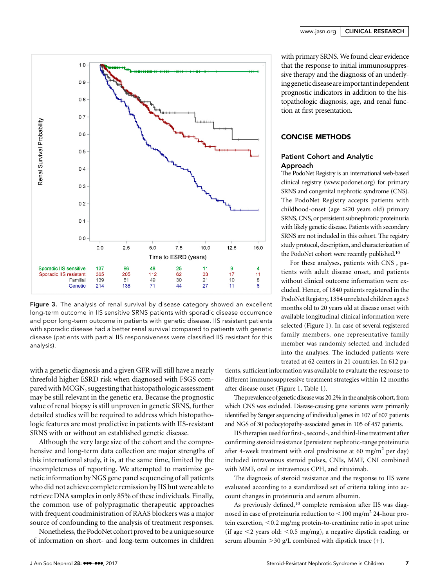

Figure 3. The analysis of renal survival by disease category showed an excellent long-term outcome in IIS sensitive SRNS patients with sporadic disease occurrence and poor long-term outcome in patients with genetic disease. IIS resistant patients with sporadic disease had a better renal survival compared to patients with genetic disease (patients with partial IIS responsiveness were classified IIS resistant for this analysis).

with a genetic diagnosis and a given GFR will still have a nearly threefold higher ESRD risk when diagnosed with FSGS compared with MCGN, suggesting that histopathologic assessment may be still relevant in the genetic era. Because the prognostic value of renal biopsy is still unproven in genetic SRNS, further detailed studies will be required to address which histopathologic features are most predictive in patients with IIS-resistant SRNS with or without an established genetic disease.

Although the very large size of the cohort and the comprehensive and long-term data collection are major strengths of this international study, it is, at the same time, limited by the incompleteness of reporting. We attempted to maximize genetic information by NGS gene panel sequencing of all patients who did not achieve complete remission by IIS but were able to retrieve DNA samples in only 85% of these individuals. Finally, the common use of polypragmatic therapeutic approaches with frequent coadministration of RAAS blockers was a major source of confounding to the analysis of treatment responses.

Nonetheless, the PodoNet cohort proved to be a unique source of information on short- and long-term outcomes in children

with primary SRNS. We found clear evidence that the response to initial immunosuppressive therapy and the diagnosis of an underlyinggeneticdiseaseareimportantindependent prognostic indicators in addition to the histopathologic diagnosis, age, and renal function at first presentation.

# CONCISE METHODS

# Patient Cohort and Analytic Approach

The PodoNet Registry is an international web-based clinical registry ([www.podonet.org\)](http://www.podonet.org) for primary SRNS and congenital nephrotic syndrome (CNS). The PodoNet Registry accepts patients with childhood-onset (age  $\leq$ 20 years old) primary SRNS, CNS, or persistent subnephrotic proteinuria with likely genetic disease. Patients with secondary SRNS are not included in this cohort. The registry study protocol, description, and characterization of the PodoNet cohort were recently published.10

For these analyses, patients with CNS , patients with adult disease onset, and patients without clinical outcome information were excluded. Hence, of 1840 patients registered in the PodoNet Registry, 1354 unrelated children ages 3 months old to 20 years old at disease onset with available longitudinal clinical information were selected (Figure 1). In case of several registered family members, one representative family member was randomly selected and included into the analyses. The included patients were treated at 62 centers in 21 countries. In 612 pa-

tients, sufficient information was available to evaluate the response to different immunosuppressive treatment strategies within 12 months after disease onset (Figure 1, Table 1).

The prevalence of genetic disease was 20.2% in the analysis cohort, from which CNS was excluded. Disease-causing gene variants were primarily identified by Sanger sequencing of individual genes in 107 of 607 patients and NGS of 30 podocytopathy-associated genes in 105 of 457 patients.

IIS therapies used for first-, second-, and third-line treatment after confirming steroid resistance (persistent nephrotic-range proteinuria after 4-week treatment with oral prednisone at 60 mg/m<sup>2</sup> per day) included intravenous steroid pulses, CNIs, MMF, CNI combined with MMF, oral or intravenous CPH, and rituximab.

The diagnosis of steroid resistance and the response to IIS were evaluated according to a standardized set of criteria taking into account changes in proteinuria and serum albumin.

As previously defined,<sup>10</sup> complete remission after IIS was diagnosed in case of proteinuria reduction to  $\leq 100$  mg/m<sup>2</sup> 24-hour protein excretion,  $<$  0.2 mg/mg protein-to-creatinine ratio in spot urine (if age  $\leq$ 2 years old:  $\leq$ 0.5 mg/mg), a negative dipstick reading, or serum albumin  $>$  30 g/L combined with dipstick trace (+).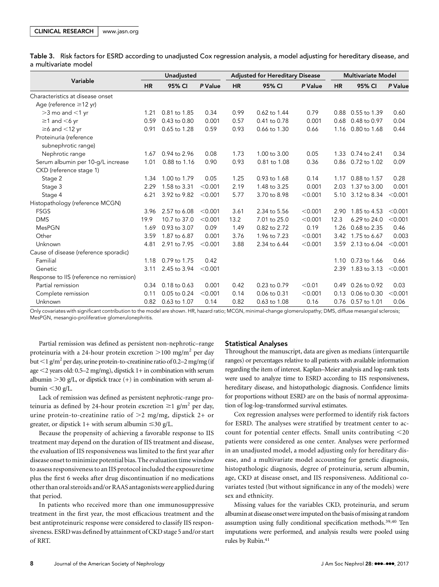| Table 3.   Risk factors for ESRD according to unadjusted Cox regression analysis, a model adjusting for hereditary disease, and |  |  |  |  |
|---------------------------------------------------------------------------------------------------------------------------------|--|--|--|--|
| a multivariate model                                                                                                            |  |  |  |  |

|                                          |           | Unadjusted        |         |           | <b>Adjusted for Hereditary Disease</b> |         |           | <b>Multivariate Model</b> |         |
|------------------------------------------|-----------|-------------------|---------|-----------|----------------------------------------|---------|-----------|---------------------------|---------|
| Variable                                 | <b>HR</b> | 95% CI            | P Value | <b>HR</b> | 95% CI                                 | P Value | <b>HR</b> | 95% CI                    | P Value |
| Characteristics at disease onset         |           |                   |         |           |                                        |         |           |                           |         |
| Age (reference $\geq$ 12 yr)             |           |                   |         |           |                                        |         |           |                           |         |
| $>3$ mo and $<$ 1 yr                     | 1.21      | 0.81 to 1.85      | 0.34    | 0.99      | 0.62 to 1.44                           | 0.79    | 0.88      | 0.55 to 1.39              | 0.60    |
| $\geq$ 1 and $<$ 6 yr                    | 0.59      | 0.43 to 0.80      | 0.001   | 0.57      | 0.41 to 0.78                           | 0.001   | 0.68      | 0.48 to 0.97              | 0.04    |
| $\geq$ 6 and $\leq$ 12 yr                | 0.91      | 0.65 to 1.28      | 0.59    | 0.93      | 0.66 to 1.30                           | 0.66    | 1.16      | 0.80 to 1.68              | 0.44    |
| Proteinuria (reference                   |           |                   |         |           |                                        |         |           |                           |         |
| subnephrotic range)                      |           |                   |         |           |                                        |         |           |                           |         |
| Nephrotic range                          | 1.67      | 0.94 to 2.96      | 0.08    | 1.73      | 1.00 to 3.00                           | 0.05    | 1.33      | 0.74 to 2.41              | 0.34    |
| Serum albumin per 10-g/L increase        | 1.01      | 0.88 to 1.16      | 0.90    | 0.93      | 0.81 to 1.08                           | 0.36    | 0.86      | 0.72 to 1.02              | 0.09    |
| CKD (reference stage 1)                  |           |                   |         |           |                                        |         |           |                           |         |
| Stage 2                                  | 1.34      | 1.00 to 1.79      | 0.05    | 1.25      | 0.93 to 1.68                           | 0.14    | 1.17      | 0.88 to 1.57              | 0.28    |
| Stage 3                                  | 2.29      | 1.58 to 3.31      | < 0.001 | 2.19      | 1.48 to 3.25                           | 0.001   | 2.03      | 1.37 to 3.00              | 0.001   |
| Stage 4                                  | 6.21      | 3.92 to 9.82      | < 0.001 | 5.77      | 3.70 to 8.98                           | < 0.001 |           | 5.10 3.12 to 8.34         | < 0.001 |
| Histopathology (reference MCGN)          |           |                   |         |           |                                        |         |           |                           |         |
| <b>FSGS</b>                              | 3.96      | 2.57 to 6.08      | < 0.001 | 3.61      | 2.34 to 5.56                           | < 0.001 | 2.90      | 1.85 to 4.53              | < 0.001 |
| <b>DMS</b>                               | 19.9      | 10.7 to 37.0      | < 0.001 | 13.2      | 7.01 to 25.0                           | < 0.001 | 12.3      | 6.29 to 24.0              | < 0.001 |
| MesPGN                                   | 1.69      | 0.93 to 3.07      | 0.09    | 1.49      | 0.82 to 2.72                           | 0.19    | 1.26      | 0.68 to 2.35              | 0.46    |
| Other                                    | 3.59      | 1.87 to 6.87      | 0.001   | 3.76      | 1.96 to 7.23                           | < 0.001 | 3.42      | 1.75 to 6.67              | 0.003   |
| Unknown                                  | 4.81      | 2.91 to 7.95      | < 0.001 | 3.88      | 2.34 to 6.44                           | < 0.001 |           | 3.59 2.13 to 6.04         | < 0.001 |
| Cause of disease (reference sporadic)    |           |                   |         |           |                                        |         |           |                           |         |
| Familial                                 | 1.18      | 0.79 to 1.75      | 0.42    |           |                                        |         | 1.10      | 0.73 to 1.66              | 0.66    |
| Genetic                                  | 3.11      | 2.45 to 3.94      | < 0.001 |           |                                        |         | 2.39      | 1.83 to 3.13              | < 0.001 |
| Response to IIS (reference no remission) |           |                   |         |           |                                        |         |           |                           |         |
| Partial remission                        | 0.34      | 0.18 to 0.63      | 0.001   | 0.42      | 0.23 to 0.79                           | < 0.01  | 0.49      | 0.26 to 0.92              | 0.03    |
| Complete remission                       | 0.11      | 0.05 to 0.24      | < 0.001 | 0.14      | 0.06 to 0.31                           | < 0.001 | 0.13      | $0.06$ to $0.30$          | < 0.001 |
| Unknown                                  |           | 0.82 0.63 to 1.07 | 0.14    | 0.82      | 0.63 to 1.08                           | 0.16    |           | 0.76 0.57 to 1.01         | 0.06    |

Only covariates with significant contribution to the model are shown. HR, hazard ratio; MCGN, minimal-change glomerulopathy; DMS, diffuse mesangial sclerosis; MesPGN, mesangio-proliferative glomerulonephritis.

Partial remission was defined as persistent non-nephrotic–range proteinuria with a 24-hour protein excretion  $>$ 100 mg/m<sup>2</sup> per day but  $\leq$ 1 g/m<sup>2</sup> per day, urine protein-to-creatinine ratio of 0.2–2 mg/mg (if age  $\leq$ 2 years old: 0.5–2 mg/mg), dipstick 1+ in combination with serum albumin  $>$ 30 g/L, or dipstick trace (+) in combination with serum albumin  $<$ 30 g/L.

Lack of remission was defined as persistent nephrotic-range proteinuria as defined by 24-hour protein excretion  $\geq 1$  g/m<sup>2</sup> per day, urine protein-to-creatinine ratio of  $>2$  mg/mg, dipstick 2+ or greater, or dipstick 1+ with serum albumin  $\leq 30$  g/L.

Because the propensity of achieving a favorable response to IIS treatment may depend on the duration of IIS treatment and disease, the evaluation of IIS responsiveness was limited to the first year after disease onset to minimize potential bias. The evaluation time window to assess responsiveness to an IIS protocol included the exposure time plus the first 6 weeks after drug discontinuation if no medications other than oral steroids and/or RAAS antagonists were applied during that period.

In patients who received more than one immunosuppressive treatment in the first year, the most efficacious treatment and the best antiproteinuric response were considered to classify IIS responsiveness. ESRD was defined by attainment of CKD stage 5 and/or start of RRT.

# Statistical Analyses

Throughout the manuscript, data are given as medians (interquartile ranges) or percentages relative to all patients with available information regarding the item of interest. Kaplan–Meier analysis and log-rank tests were used to analyze time to ESRD according to IIS responsiveness, hereditary disease, and histopathologic diagnosis. Confidence limits for proportions without ESRD are on the basis of normal approximation of log-log–transformed survival estimates.

Cox regression analyses were performed to identify risk factors for ESRD. The analyses were stratified by treatment center to account for potential center effects. Small units contributing  $<$  20 patients were considered as one center. Analyses were performed in an unadjusted model, a model adjusting only for hereditary disease, and a multivariate model accounting for genetic diagnosis, histopathologic diagnosis, degree of proteinuria, serum albumin, age, CKD at disease onset, and IIS responsiveness. Additional covariates tested (but without significance in any of the models) were sex and ethnicity.

Missing values for the variables CKD, proteinuria, and serum albumin at disease onset were imputed on the basis of missing at random assumption using fully conditional specification methods.<sup>39,40</sup> Ten imputations were performed, and analysis results were pooled using rules by Rubin.<sup>41</sup>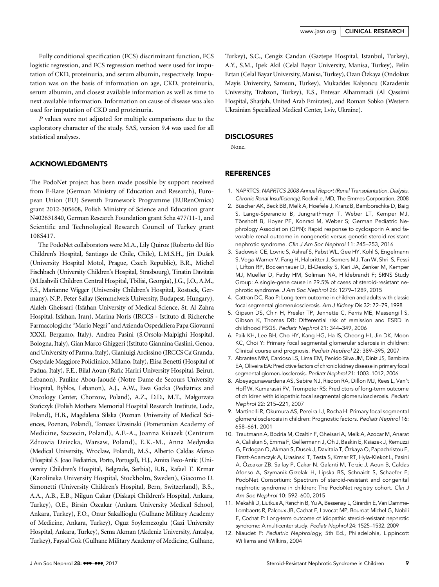Fully conditional specification (FCS) discriminant function, FCS logistic regression, and FCS regression method were used for imputation of CKD, proteinuria, and serum albumin, respectively. Imputation was on the basis of information on age, CKD, proteinuria, serum albumin, and closest available information as well as time to next available information. Information on cause of disease was also used for imputation of CKD and proteinuria.

P values were not adjusted for multiple comparisons due to the exploratory character of the study. SAS, version 9.4 was used for all statistical analyses.

#### ACKNOWLEDGMENTS

The PodoNet project has been made possible by support received from E-Rare (German Ministry of Education and Research), European Union (EU) Seventh Framework Programme (EURenOmics) grant 2012-305608, Polish Ministry of Science and Education grant N402631840, German Research Foundation grant Scha 477/11-1, and Scientific and Technological Research Council of Turkey grant 108S417.

The PodoNet collaborators were M.A., Lily Quiroz (Roberto del Rio Children's Hospital, Santiago de Chile, Chile), L.M.S.H., Jirí Dušek (University Hospital Motol, Prague, Czech Republic), B.R., Michel Fischbach (University Children's Hospital, Strasbourg), Tinatin Davitaia (M.Iashvili Children Central Hospital, Tbilisi, Georgia), J.G., J.O., A.M., F.S., Marianne Wigger (University Children's Hospital, Rostock, Germany), N.P., Peter Sallay (Semmelweis University, Budapest, Hungary), Alaleh Gheissari (Isfahan University of Medical Science, St. Al Zahra Hospital, Isfahan, Iran), Marina Noris (IRCCS - Istituto di Richerche Farmacologiche "Mario Negri" and Azienda Ospedaliera Papa Giovanni XXXI, Bergamo, Italy), Andrea Pasini (S.Orsola-Malpighi Hospital, Bologna, Italy), Gian Marco Ghiggeri (Istituto Giannina Gaslini, Genoa, and University of Parma, Italy), Gianluigi Ardissino (IRCCS Ca'Granda, Osepdale Maggiore Policlinico, Milano, Italy), Elisa Benetti (Hospital of Padua, Italy), F.E., Bilal Aoun (Rafic Hariri University Hospital, Beirut, Lebanon), Pauline Abou-Jaoudé (Notre Dame de Secours University Hospital, Byblos, Lebanon), A.J., A.W., Ewa Gacka (Pediatrics and Oncology Center, Chorzow, Poland), A.Z., D.D., M.T., Małgorzata Stanczyk (Polish Mothers Memorial Hospital Research Institute, Lodz, Poland), H.B., Magdalena Silska (Poznan University of Medical Sciences, Poznan, Poland), Tomasz Urasinski (Pomeranian Academy of Medicine, Szczecin, Poland), A.F.-A., Joanna Ksiazek (Centrum Zdrowia Dziecka, Warsaw, Poland), E.K.-M., Anna Medynska (Medical University, Wroclaw, Poland), M.S., Alberto Caldas Afonso (Hospital S. Joao Pediatrics, Porto, Portugal), H.J., Amira Peco-Antic (University Children's Hospital, Belgrade, Serbia), R.B., Rafael T. Krmar (Karolinska University Hospital, Stockholm, Sweden), Giacomo D. Simonetti (University Children's Hospital, Bern, Switzerland), B.S., A.A., A.B., E.B., Nilgun Cakar (Diskapi Children's Hospital, Ankara, Turkey), O.E., Birsin Özcakar (Ankara University Medical School, Ankara, Turkey), F.O., Onur Sakallioglu (Gulhane Military Academy of Medicine, Ankara, Turkey), Oguz Soylemezoglu (Gazi University Hospital, Ankara, Turkey), Sema Akman (Akdeniz University, Antalya, Turkey), Faysal Gok (Gulhane Military Academy of Medicine, Gulhane, Turkey), S.C., Cengiz Candan (Gaztepe Hospital, Istanbul, Turkey), A.Y., S.M., Ipek Akil (Celal Bayar University, Manisa, Turkey), Pelin Ertan (Celal Bayar University, Manisa, Turkey), Ozan Özkaya (Ondokuz Mayis University, Samsun, Turkey), Mukaddes Kalyoncu (Karadeniz University, Trabzon, Turkey), E.S., Entesar Alhammadi (Al Qassimi Hospital, Sharjah, United Arab Emirates), and Roman Sobko (Western Ukrainian Specialized Medical Center, Lviv, Ukraine).

#### DISCLOSURES

None.

#### REFERENCES

- 1. NAPRTCS: NAPRTCS 2008 Annual Report (Renal Transplantation, Dialysis, Chronic Renal Insufficiency), Rockville, MD, The Emmes Corporation, 2008
- 2. Büscher AK, Beck BB, Melk A, Hoefele J, Kranz B, Bamborschke D, Baig S, Lange-Sperandio B, Jungraithmayr T, Weber LT, Kemper MJ, Tönshoff B, Hoyer PF, Konrad M, Weber S; German Pediatric Nephrology Association (GPN): Rapid response to cyclosporin A and favorable renal outcome in nongenetic versus genetic steroid-resistant nephrotic syndrome. Clin J Am Soc Nephrol 11: 245–253, 2016
- 3. Sadowski CE, Lovric S, Ashraf S, Pabst WL, Gee HY, Kohl S, Engelmann S, Vega-Warner V, Fang H, Halbritter J, Somers MJ, Tan W, Shril S, Fessi I, Lifton RP, Bockenhauer D, El-Desoky S, Kari JA, Zenker M, Kemper MJ, Mueller D, Fathy HM, Soliman NA, Hildebrandt F; SRNS Study Group: A single-gene cause in 29.5% of cases of steroid-resistant nephrotic syndrome. J Am Soc Nephrol 26: 1279–1289, 2015
- 4. Cattran DC, Rao P: Long-term outcome in children and adults with classic focal segmental glomerulosclerosis. Am J Kidney Dis 32: 72–79, 1998
- 5. Gipson DS, Chin H, Presler TP, Jennette C, Ferris ME, Massengill S, Gibson K, Thomas DB: Differential risk of remission and ESRD in childhood FSGS. Pediatr Nephrol 21: 344–349, 2006
- 6. Paik KH, Lee BH, Cho HY, Kang HG, Ha IS, Cheong HI, Jin DK, Moon KC, Choi Y: Primary focal segmental glomerular sclerosis in children: Clinical course and prognosis. Pediatr Nephrol 22: 389–395, 2007
- 7. Abrantes MM, Cardoso LS, Lima EM, Penido Silva JM, Diniz JS, Bambirra EA, Oliveira EA: Predictive factors of chronic kidney disease in primary focal segmental glomerulosclerosis. Pediatr Nephrol 21: 1003–1012, 2006
- 8. Abeyagunawardena AS, Sebire NJ, Risdon RA, Dillon MJ, Rees L, Van't Hoff W, Kumarasiri PV, Trompeter RS: Predictors of long-term outcome of children with idiopathic focal segmental glomerulosclerosis. Pediatr Nephrol 22: 215–221, 2007
- 9. Martinelli R, Okumura AS, Pereira LJ, Rocha H: Primary focal segmental glomerulosclerosis in children: Prognostic factors. Pediatr Nephrol 16: 658–661, 2001
- 10. Trautmann A, Bodria M, Ozaltin F, Gheisari A, Melk A, Azocar M, Anarat A, Caliskan S, Emma F, Gellermann J, Oh J, Baskin E, Ksiazek J, Remuzzi G, Erdogan O, Akman S, Dusek J, Davitaia T, Özkaya O, Papachristou F, Firszt-Adamczyk A, Urasinski T, Testa S, Krmar RT, Hyla-Klekot L, Pasini A, Özcakar ZB, Sallay P, Cakar N, Galanti M, Terzic J, Aoun B, Caldas Afonso A, Szymanik-Grzelak H, Lipska BS, Schnaidt S, Schaefer F; PodoNet Consortium: Spectrum of steroid-resistant and congenital nephrotic syndrome in children: The PodoNet registry cohort. Clin J Am Soc Nephrol 10: 592–600, 2015
- 11. Mekahli D, Liutkus A, Ranchin B, Yu A, Bessenay L, Girardin E, Van Damme-Lombaerts R, Palcoux JB, Cachat F, Lavocat MP, Bourdat-Michel G, Nobili F, Cochat P: Long-term outcome of idiopathic steroid-resistant nephrotic syndrome: A multicenter study. Pediatr Nephrol 24: 1525–1532, 2009
- 12. Niaudet P: Pediatric Nephrology, 5th Ed., Philadelphia, Lippincott Williams and Wilkins, 2004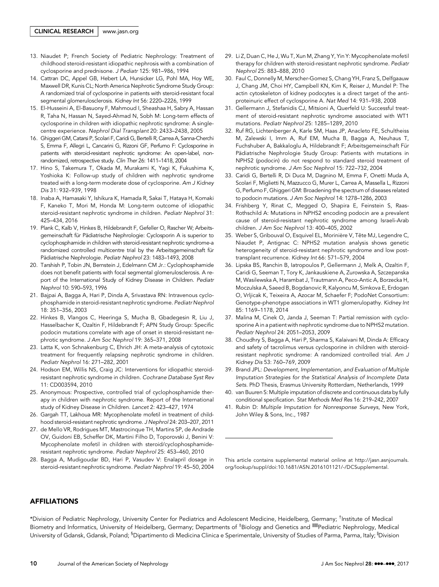AFFILIATIONS

#### CLINICAL RESEARCH | www.jasn.org

- 13. Niaudet P; French Society of Pediatric Nephrology: Treatment of childhood steroid-resistant idiopathic nephrosis with a combination of cyclosporine and prednisone. J Pediatr 125: 981–986, 1994
- 14. Cattran DC, Appel GB, Hebert LA, Hunsicker LG, Pohl MA, Hoy WE, Maxwell DR, Kunis CL; North America Nephrotic Syndrome Study Group: A randomized trial of cyclosporine in patients with steroid-resistant focal segmental glomerulosclerosis. Kidney Int 56: 2220–2226, 1999
- 15. El-Husseini A, El-Basuony F, Mahmoud I, Sheashaa H, Sabry A, Hassan R, Taha N, Hassan N, Sayed-Ahmad N, Sobh M: Long-term effects of cyclosporine in children with idiopathic nephrotic syndrome: A singlecentre experience. Nephrol Dial Transplant 20: 2433–2438, 2005
- 16. Ghiggeri GM, Catarsi P, Scolari F, Caridi G, Bertelli R, Carrea A, Sanna-Cherchi S, Emma F, Allegri L, Cancarini G, Rizzoni GF, Perfumo F: Cyclosporine in patients with steroid-resistant nephrotic syndrome: An open-label, nonrandomized, retrospective study. Clin Ther 26: 1411–1418, 2004
- 17. Hino S, Takemura T, Okada M, Murakami K, Yagi K, Fukushima K, Yoshioka K: Follow-up study of children with nephrotic syndrome treated with a long-term moderate dose of cyclosporine. Am J Kidney Dis 31: 932–939, 1998
- 18. Inaba A, Hamasaki Y, Ishikura K, Hamada R, Sakai T, Hataya H, Komaki F, Kaneko T, Mori M, Honda M: Long-term outcome of idiopathic steroid-resistant nephrotic syndrome in children. Pediatr Nephrol 31: 425–434, 2016
- 19. Plank C, Kalb V, Hinkes B, Hildebrandt F, Gefeller O, Rascher W; Arbeitsgemeinschaft für Pädiatrische Nephrologie: Cyclosporin A is superior to cyclophosphamide in children with steroid-resistant nephrotic syndrome-a randomized controlled multicentre trial by the Arbeitsgemeinschaft für Pädiatrische Nephrologie. Pediatr Nephrol 23: 1483–1493, 2008
- 20. Tarshish P, Tobin JN, Bernstein J, Edelmann CM Jr.: Cyclophosphamide does not benefit patients with focal segmental glomerulosclerosis. A report of the International Study of Kidney Disease in Children. Pediatr Nephrol 10: 590–593, 1996
- 21. Bajpai A, Bagga A, Hari P, Dinda A, Srivastava RN: Intravenous cyclophosphamide in steroid-resistant nephrotic syndrome. Pediatr Nephrol 18: 351–356, 2003
- 22. Hinkes B, Vlangos C, Heeringa S, Mucha B, Gbadegesin R, Liu J, Hasselbacher K, Ozaltin F, Hildebrandt F; APN Study Group: Specific podocin mutations correlate with age of onset in steroid-resistant nephrotic syndrome. J Am Soc Nephrol 19: 365–371, 2008
- 23. Latta K, von Schnakenburg C, Ehrich JH: A meta-analysis of cytotoxic treatment for frequently relapsing nephrotic syndrome in children. Pediatr Nephrol 16: 271–282, 2001
- 24. Hodson EM, Willis NS, Craig JC: Interventions for idiopathic steroidresistant nephrotic syndrome in children. Cochrane Database Syst Rev 11: CD003594, 2010
- 25. Anonymous: Prospective, controlled trial of cyclophosphamide therapy in children with nephrotic syndrome. Report of the International study of Kidney Disease in Children. Lancet 2: 423–427, 1974
- 26. Gargah TT, Lakhoua MR: Mycophenolate mofetil in treatment of childhood steroid-resistant nephrotic syndrome. J Nephrol 24: 203–207, 2011
- 27. de Mello VR, Rodrigues MT, Mastrocinque TH, Martins SP, de Andrade OV, Guidoni EB, Scheffer DK, Martini Filho D, Toporovski J, Benini V: Mycophenolate mofetil in children with steroid/cyclophosphamideresistant nephrotic syndrome. Pediatr Nephrol 25: 453–460, 2010
- 28. Bagga A, Mudigoudar BD, Hari P, Vasudev V: Enalapril dosage in steroid-resistant nephrotic syndrome. Pediatr Nephrol 19: 45–50, 2004

Biometry and Informatics, University of Heidelberg, Germany; Departments of <sup>‡</sup>Biology and Genetics and <sup>IIIIIII</sup>Pediatric Nephrology, Medical University of Gdansk, Gdansk, Poland; <sup>§</sup>Dipartimento di Medicina Clinica e Sperimentale, University of Studies of Parma, Parma, Italy; <sup>II</sup>Division

- 29. Li Z, Duan C, He J, Wu T, Xun M, Zhang Y, Yin Y: Mycophenolate mofetil therapy for children with steroid-resistant nephrotic syndrome. Pediatr Nephrol 25: 883–888, 2010
- 30. Faul C, Donnelly M, Merscher-Gomez S, Chang YH, Franz S, Delfgaauw J, Chang JM, Choi HY, Campbell KN, Kim K, Reiser J, Mundel P: The actin cytoskeleton of kidney podocytes is a direct target of the antiproteinuric effect of cyclosporine A. Nat Med 14: 931–938, 2008
- 31. Gellermann J, Stefanidis CJ, Mitsioni A, Querfeld U: Successful treatment of steroid-resistant nephrotic syndrome associated with WT1 mutations. Pediatr Nephrol 25: 1285–1289, 2010
- 32. Ruf RG, Lichtenberger A, Karle SM, Haas JP, Anacleto FE, Schultheiss M, Zalewski I, Imm A, Ruf EM, Mucha B, Bagga A, Neuhaus T, Fuchshuber A, Bakkaloglu A, Hildebrandt F; Arbeitsgemeinschaft Für Pädiatrische Nephrologie Study Group: Patients with mutations in NPHS2 (podocin) do not respond to standard steroid treatment of nephrotic syndrome. J Am Soc Nephrol 15: 722–732, 2004
- 33. Caridi G, Bertelli R, Di Duca M, Dagnino M, Emma F, Onetti Muda A, Scolari F, Miglietti N, Mazzucco G, Murer L, Carrea A, Massella L, Rizzoni G, Perfumo F, Ghiggeri GM: Broadening the spectrum of diseases related to podocin mutations. J Am Soc Nephrol 14: 1278–1286, 2003
- 34. Frishberg Y, Rinat C, Megged O, Shapira E, Feinstein S, Raas-Rothschild A: Mutations in NPHS2 encoding podocin are a prevalent cause of steroid-resistant nephrotic syndrome among Israeli-Arab children. J Am Soc Nephrol 13: 400–405, 2002
- 35. Weber S, Gribouval O, Esquivel EL, Morinière V, Tête MJ, Legendre C, Niaudet P, Antignac C: NPHS2 mutation analysis shows genetic heterogeneity of steroid-resistant nephrotic syndrome and low posttransplant recurrence. Kidney Int 66: 571–579, 2004
- 36. Lipska BS, Ranchin B, Iatropoulos P, Gellermann J, Melk A, Ozaltin F, Caridi G, Seeman T, Tory K, Jankauskiene A, Zurowska A, Szczepanska M, Wasilewska A, Harambat J, Trautmann A, Peco-Antic A, Borzecka H, Moczulska A, Saeed B, Bogdanovic R, Kalyoncu M, Simkova E, Erdogan O, Vrljicak K, Teixeira A, Azocar M, Schaefer F; PodoNet Consortium: Genotype-phenotype associations in WT1 glomerulopathy. Kidney Int 85: 1169–1178, 2014
- 37. Malina M, Cinek O, Janda J, Seeman T: Partial remission with cyclosporine A in a patient with nephrotic syndrome due to NPHS2 mutation. Pediatr Nephrol 24: 2051–2053, 2009
- 38. Choudhry S, Bagga A, Hari P, Sharma S, Kalaivani M, Dinda A: Efficacy and safety of tacrolimus versus cyclosporine in children with steroidresistant nephrotic syndrome: A randomized controlled trial. Am J Kidney Dis 53: 760–769, 2009
- 39. Brand JPL: Development, Implementation, and Evaluation of Multiple Imputation Strategies for the Statistical Analysis of Incomplete Data Sets. PhD Thesis, Erasmus University Rotterdam, Netherlands, 1999
- 40. van Buuren S: Multiple imputation of discrete and continuous data by fully conditional specification. Stat Methods Med Res 16: 219–242, 2007
- 41. Rubin D: Multiple Imputation for Nonresponse Surveys, New York, John Wiley & Sons, Inc., 1987

This article contains supplemental material online at [http://jasn.asnjournals.](http://jasn.asnjournals.org/lookup/suppl/doi:10.1681/ASN.2016101121/-/DCSupplemental) [org/lookup/suppl/doi:10.1681/ASN.2016101121/-/DCSupplemental](http://jasn.asnjournals.org/lookup/suppl/doi:10.1681/ASN.2016101121/-/DCSupplemental).